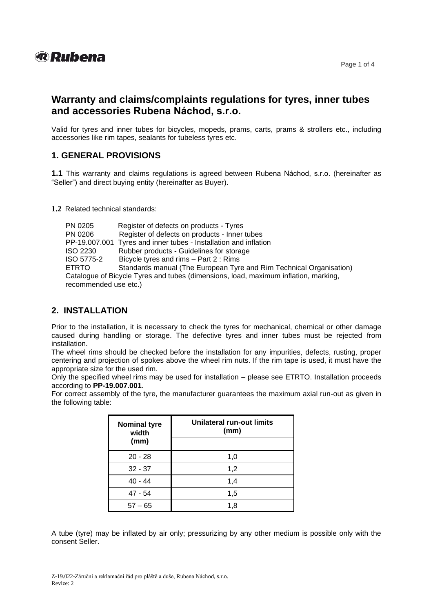

# **Warranty and claims/complaints regulations for tyres, inner tubes and accessories Rubena Náchod, s.r.o.**

Valid for tyres and inner tubes for bicycles, mopeds, prams, carts, prams & strollers etc., including accessories like rim tapes, sealants for tubeless tyres etc.

## **1. GENERAL PROVISIONS**

**1.1** This warranty and claims regulations is agreed between Rubena Náchod, s.r.o. (hereinafter as "Seller") and direct buying entity (hereinafter as Buyer).

**1.2** Related technical standards:

|  | PN 0205                                                                                                      | Register of defects on products - Tyres                             |
|--|--------------------------------------------------------------------------------------------------------------|---------------------------------------------------------------------|
|  | PN 0206                                                                                                      | Register of defects on products - Inner tubes                       |
|  |                                                                                                              | PP-19.007.001 Tyres and inner tubes - Installation and inflation    |
|  | <b>ISO 2230</b>                                                                                              | Rubber products - Guidelines for storage                            |
|  | ISO 5775-2                                                                                                   | Bicycle tyres and rims - Part 2 : Rims                              |
|  | <b>ETRTO</b>                                                                                                 | Standards manual (The European Tyre and Rim Technical Organisation) |
|  | Catalogue of Bicycle Tyres and tubes (dimensions, load, maximum inflation, marking,<br>recommended use etc.) |                                                                     |
|  |                                                                                                              |                                                                     |
|  |                                                                                                              |                                                                     |

### **2. INSTALLATION**

Prior to the installation, it is necessary to check the tyres for mechanical, chemical or other damage caused during handling or storage. The defective tyres and inner tubes must be rejected from installation.

The wheel rims should be checked before the installation for any impurities, defects, rusting, proper centering and projection of spokes above the wheel rim nuts. If the rim tape is used, it must have the appropriate size for the used rim.

Only the specified wheel rims may be used for installation – please see ETRTO. Installation proceeds according to **PP-19.007.001**.

For correct assembly of the tyre, the manufacturer guarantees the maximum axial run-out as given in the following table:

| <b>Nominal tyre</b><br>width | Unilateral run-out limits<br>(mm) |
|------------------------------|-----------------------------------|
| (mm)                         |                                   |
| $20 - 28$                    | 1,0                               |
| $32 - 37$                    | 1,2                               |
| $40 - 44$                    | 1,4                               |
| $47 - 54$                    | 1,5                               |
| $57 - 65$                    | 1,8                               |

A tube (tyre) may be inflated by air only; pressurizing by any other medium is possible only with the consent Seller.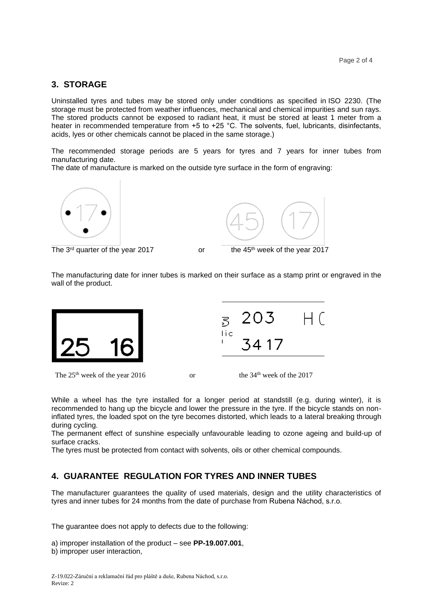## **3. STORAGE**

Uninstalled tyres and tubes may be stored only under conditions as specified in ISO 2230. (The storage must be protected from weather influences, mechanical and chemical impurities and sun rays. The stored products cannot be exposed to radiant heat, it must be stored at least 1 meter from a heater in recommended temperature from +5 to +25 °C. The solvents, fuel, lubricants, disinfectants, acids, lyes or other chemicals cannot be placed in the same storage.)

The recommended storage periods are 5 years for tyres and 7 years for inner tubes from manufacturing date.

The date of manufacture is marked on the outside tyre surface in the form of engraving:



The 3



or the 45<sup>th</sup> week of the year 2017

The manufacturing date for inner tubes is marked on their surface as a stamp print or engraved in the wall of the product.



While a wheel has the tyre installed for a longer period at standstill (e.g. during winter), it is recommended to hang up the bicycle and lower the pressure in the tyre. If the bicycle stands on noninflated tyres, the loaded spot on the tyre becomes distorted, which leads to a lateral breaking through during cycling.

The permanent effect of sunshine especially unfavourable leading to ozone ageing and build-up of surface cracks.

The tyres must be protected from contact with solvents, oils or other chemical compounds.

# **4. GUARANTEE REGULATION FOR TYRES AND INNER TUBES**

The manufacturer guarantees the quality of used materials, design and the utility characteristics of tyres and inner tubes for 24 months from the date of purchase from Rubena Náchod, s.r.o.

The guarantee does not apply to defects due to the following:

```
a) improper installation of the product – see PP-19.007.001, 
b) improper user interaction,
```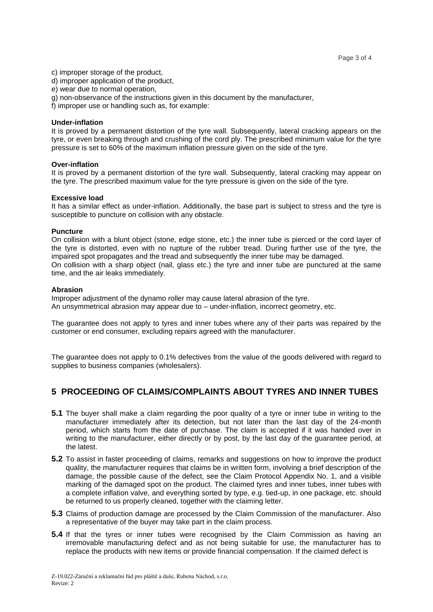c) improper storage of the product,

- d) improper application of the product,
- e) wear due to normal operation,
- g) non-observance of the instructions given in this document by the manufacturer,
- f) improper use or handling such as, for example:

#### **Under-inflation**

It is proved by a permanent distortion of the tyre wall. Subsequently, lateral cracking appears on the tyre, or even breaking through and crushing of the cord ply. The prescribed minimum value for the tyre pressure is set to 60% of the maximum inflation pressure given on the side of the tyre.

#### **Over-inflation**

It is proved by a permanent distortion of the tyre wall. Subsequently, lateral cracking may appear on the tyre. The prescribed maximum value for the tyre pressure is given on the side of the tyre.

#### **Excessive load**

It has a similar effect as under-inflation. Additionally, the base part is subject to stress and the tyre is susceptible to puncture on collision with any obstacle.

#### **Puncture**

On collision with a blunt object (stone, edge stone, etc.) the inner tube is pierced or the cord layer of the tyre is distorted, even with no rupture of the rubber tread. During further use of the tyre, the impaired spot propagates and the tread and subsequently the inner tube may be damaged. On collision with a sharp object (nail, glass etc.) the tyre and inner tube are punctured at the same time, and the air leaks immediately.

#### **Abrasion**

Improper adjustment of the dynamo roller may cause lateral abrasion of the tyre. An unsymmetrical abrasion may appear due to – under-inflation, incorrect geometry, etc.

The guarantee does not apply to tyres and inner tubes where any of their parts was repaired by the customer or end consumer, excluding repairs agreed with the manufacturer.

The guarantee does not apply to 0.1% defectives from the value of the goods delivered with regard to supplies to business companies (wholesalers).

### **5 PROCEEDING OF CLAIMS/COMPLAINTS ABOUT TYRES AND INNER TUBES**

- **5.1** The buyer shall make a claim regarding the poor quality of a tyre or inner tube in writing to the manufacturer immediately after its detection, but not later than the last day of the 24-month period, which starts from the date of purchase. The claim is accepted if it was handed over in writing to the manufacturer, either directly or by post, by the last day of the guarantee period, at the latest.
- **5.2** To assist in faster proceeding of claims, remarks and suggestions on how to improve the product quality, the manufacturer requires that claims be in written form, involving a brief description of the damage, the possible cause of the defect, see the Claim Protocol Appendix No. 1, and a visible marking of the damaged spot on the product. The claimed tyres and inner tubes, inner tubes with a complete inflation valve, and everything sorted by type, e.g. tied-up, in one package, etc. should be returned to us properly cleaned, together with the claiming letter.
- **5.3** Claims of production damage are processed by the Claim Commission of the manufacturer. Also a representative of the buyer may take part in the claim process.
- **5.4** If that the tyres or inner tubes were recognised by the Claim Commission as having an irremovable manufacturing defect and as not being suitable for use, the manufacturer has to replace the products with new items or provide financial compensation. If the claimed defect is